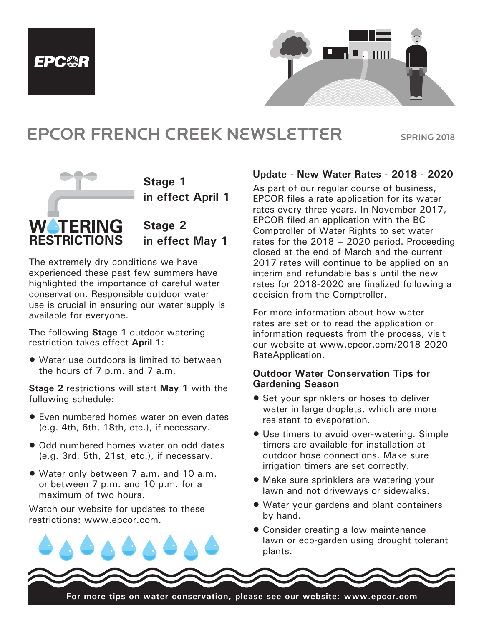



# EPCOR FRENCH CREEK NEWSLETTER SPRING 2018 EPCOR FRENCH CRE



**Stage 1** in effect April 1

**Stage 2 in effect May 1**

The extremely dry conditions we have The extremely dry conditions we have<br>experienced these past few summers have experienced these past few summers have<br>highlighted the importance of careful water **Engingnee the importance or carefar water**<br>**conservation.** Responsible outdoor water out call the politicity called that the supply is use is crucial in ensuring our water supply is available for everyone. water is crucial in ensuring our **Lawn Watering**  LAWN WATERING **Residential**

The following **Stage 1** outdoor watering restriction takes effect April 1: The following Stage 1

 $\bullet$  Water use outdoors is limited to between the hours of 7 p.m. and 7 a.m.

**Stage 2 restrictions will start May 1 with the** following schedule: ionowing su Stage 2 rest following schedule:

- Even numbered homes water on even dates (e.g. 4th, 6th, 18th, etc.), if necessary. **permitted days**
- Odd numbered homes water on odd dates (e.g. 3rd, 5th, 21st, etc.), if necessary. **•** Odd numbered homes water on odd dates • Even-numbered premises may water on
	- Water only between 7 a.m. and 10 a.m. or between 7 p.m. and 10 p.m. for a maximum of two hours. **• Water only between 7 a.m. and 10 a.m.**

Watch our website for updates to these restrictions: www.epcor.com. restrictions: www.epcor.com. E-mail: frenchcreek@epcor.com

*Note: Remember to set your automatic irrigation systems to comply with these*  • All non-residential addresses can also water

Hand-watering of the flowers of the same state of the same state of the same state of the same state of the same state of the same state of the same state of the same state of the same state of the same state of the same s

on Friday **between 4 a.m. and 9 a.m.**

*restrictions.*

#### **Let a Update - New Water Rates - 2018 - 2020**

 $\sim$   $\sim$  As part of our regular course of business, April 1 FRCOR files a rate application for its water rates every three years. In November 2017, example of the surface of the extended the EC served on application with the BC Comptroller of Water Rights to set water  $t$  May 1 arates for the 2018 – 2020 period. Proceeding closed at the end of March and the current 2017 rates will continue to be applied on an ers have *Source in the community to be applied one*<br>ers have *Source: interim and refundable basis until the new* rates for 2018-2020 are finalized following a decision from the Comptroller. salt continued and salt  $\overline{a}$ . **vidy i** at the base of the  $201$ 

> For more information about how water rates are set or to read the application or information requests from the process, visit our website at www.epcor.com/2018-2020- RateApplication.

#### **Outdoor Water Conservation Tips for Gardening Season**

- Set your sprinklers or hoses to deliver water in large droplets, which are more resistant to evaporation.
- Use timers to avoid over-watering. Simple timers are available for installation at sary. The outdoor hose connections. Make sure **Example 12:30 a.m. - 4:30 p.m. - 4:30 p.m. A:30 p.m. A:30 p.m. A:30 p.m. A:30 p.m. A:30 p.m. We are closed from the from the 4:30 p.m. A:30 p.m. A:30 p.m. A:30 p.m. We are correctly.**
- $\bullet$  Make sure sprinklers are watering your lawn and not driveways or sidewalks.
- ese Water your gardens and plant containers ese by hand.
- Consider creating a low maintenance lawn or eco-garden using drought tolerant plants. #10D, 1343 Alberni Highway Parksville, BC V9P 2B9

For more tips on water conservation, please see our website: www.epcor.com  $E_{\alpha r}$  mare time an water act on more tips on water con

**w**